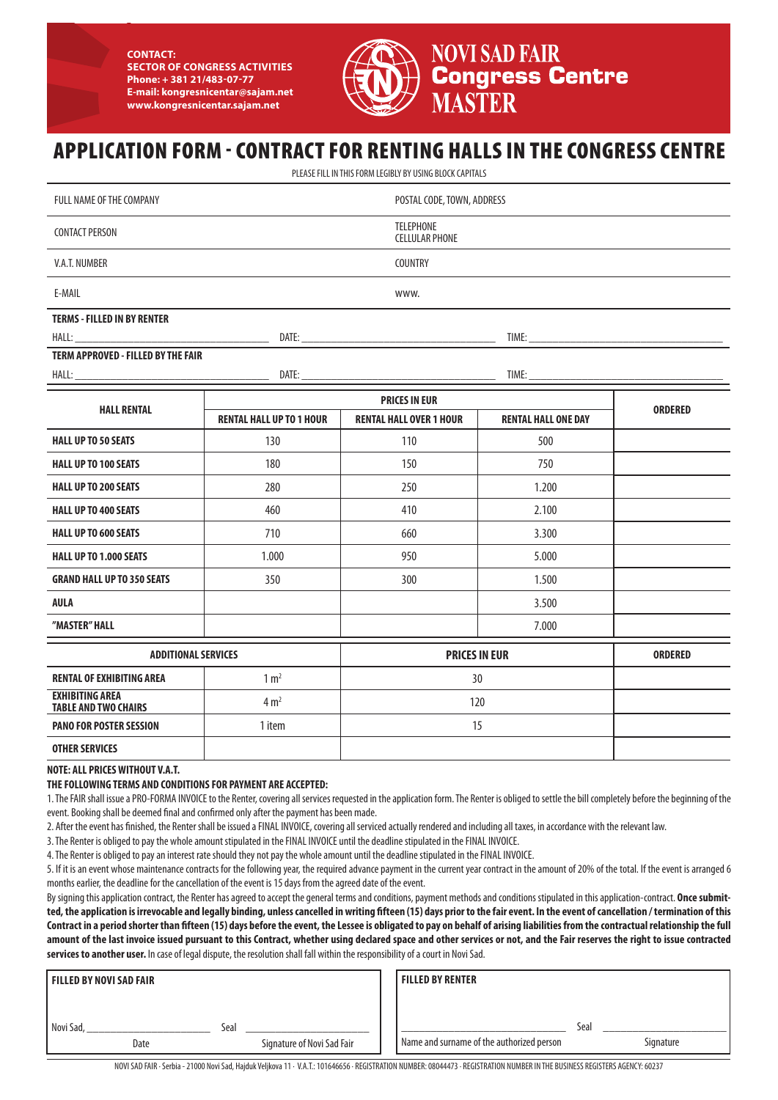**CONTACT: SECTOR OF CONGRESS ACTIVITIES Phone: + 381 21/483-07-77 E-mail: kongresnicentar@sajam.net www.kongresnicentar.sajam.net**



**NOVI SAD FAIR Congress Centre** 

# APPLICATION FORM - CONTRACT FOR RENTING HALLS IN THE CONGRESS CENTRE

PLEASE FILL IN THIS FORM LEGIBLY BY USING BLOCK CAPITALS

| FULL NAME OF THE COMPANY                                                                                                                                                                                                       | POSTAL CODE, TOWN, ADDRESS                    |                                |                            |                |  |  |  |
|--------------------------------------------------------------------------------------------------------------------------------------------------------------------------------------------------------------------------------|-----------------------------------------------|--------------------------------|----------------------------|----------------|--|--|--|
| <b>CONTACT PERSON</b>                                                                                                                                                                                                          | <b>TELEPHONE</b><br><b>CELLULAR PHONE</b>     |                                |                            |                |  |  |  |
| <b>V.A.T. NUMBER</b>                                                                                                                                                                                                           | <b>COUNTRY</b>                                |                                |                            |                |  |  |  |
| E-MAIL                                                                                                                                                                                                                         | www.                                          |                                |                            |                |  |  |  |
| <b>TERMS - FILLED IN BY RENTER</b>                                                                                                                                                                                             |                                               |                                |                            |                |  |  |  |
| HALL:                                                                                                                                                                                                                          | <u> 1989 - John Barnett, fransk politiker</u> |                                |                            |                |  |  |  |
| TERM APPROVED - FILLED BY THE FAIR                                                                                                                                                                                             |                                               |                                |                            |                |  |  |  |
| HALL: The contract of the contract of the contract of the contract of the contract of the contract of the contract of the contract of the contract of the contract of the contract of the contract of the contract of the cont | DATE:                                         |                                |                            |                |  |  |  |
| <b>HALL RENTAL</b>                                                                                                                                                                                                             | <b>PRICES IN EUR</b>                          |                                |                            |                |  |  |  |
|                                                                                                                                                                                                                                | <b>RENTAL HALL UP TO 1 HOUR</b>               | <b>RENTAL HALL OVER 1 HOUR</b> | <b>RENTAL HALL ONE DAY</b> | <b>ORDERED</b> |  |  |  |
| <b>HALL UP TO 50 SEATS</b>                                                                                                                                                                                                     | 130                                           | 110                            | 500                        |                |  |  |  |
| <b>HALL UP TO 100 SEATS</b>                                                                                                                                                                                                    | 180                                           | 150                            | 750                        |                |  |  |  |
| <b>HALL UP TO 200 SEATS</b>                                                                                                                                                                                                    | 280                                           | 250                            | 1.200                      |                |  |  |  |
| <b>HALL UP TO 400 SEATS</b>                                                                                                                                                                                                    | 460                                           | 410                            | 2.100                      |                |  |  |  |
| <b>HALL UP TO 600 SEATS</b>                                                                                                                                                                                                    | 710                                           | 660                            | 3.300                      |                |  |  |  |
| <b>HALL UP TO 1.000 SEATS</b>                                                                                                                                                                                                  | 1.000                                         | 950                            | 5.000                      |                |  |  |  |
| <b>GRAND HALL UP TO 350 SEATS</b>                                                                                                                                                                                              | 350                                           | 300                            | 1.500                      |                |  |  |  |
| <b>AULA</b>                                                                                                                                                                                                                    |                                               |                                | 3.500                      |                |  |  |  |
| "MASTER" HALL                                                                                                                                                                                                                  |                                               |                                | 7.000                      |                |  |  |  |
| <b>ADDITIONAL SERVICES</b>                                                                                                                                                                                                     |                                               | <b>PRICES IN EUR</b>           |                            | <b>ORDERED</b> |  |  |  |
| <b>RENTAL OF EXHIBITING AREA</b>                                                                                                                                                                                               | 1 m <sup>2</sup>                              | 30                             |                            |                |  |  |  |
| <b>EXHIBITING AREA</b><br><b>TABLE AND TWO CHAIRS</b>                                                                                                                                                                          | 4 m <sup>2</sup>                              | 120                            |                            |                |  |  |  |
| <b>PANO FOR POSTER SESSION</b>                                                                                                                                                                                                 | 1 item                                        | 15                             |                            |                |  |  |  |

**OTHER SERVICES**

**NOTE: ALL PRICES WITHOUT V.A.T.**

**THE FOLLOWING TERMS AND CONDITIONS FOR PAYMENT ARE ACCEPTED:**

1. The FAIR shall issue a PRO-FORMA INVOICE to the Renter, covering all services requested in the application form. The Renter is obliged to settle the bill completely before the beginning of the event. Booking shall be deemed final and confirmed only after the payment has been made.

2. After the event has finished, the Renter shall be issued a FINAL INVOICE, covering all serviced actually rendered and including all taxes, in accordance with the relevant law.

3. The Renter is obliged to pay the whole amount stipulated in the FINAL INVOICE until the deadline stipulated in the FINAL INVOICE.

4. The Renter is obliged to pay an interest rate should they not pay the whole amount until the deadline stipulated in the FINAL INVOICE.

5. If it is an event whose maintenance contracts for the following year, the required advance payment in the current year contract in the amount of 20% of the total. If the event is arranged 6 months earlier, the deadline for the cancellation of the event is 15 days from the agreed date of the event.

By signing this application contract, the Renter has agreed to accept the general terms and conditions, payment methods and conditions stipulated in this application-contract. **Once submitted, the application is irrevocable and legally binding, unless cancelled in writing fifteen (15) days prior to the fair event. In the event of cancellation / termination of this Contract in a period shorter than fifteen (15) days before the event, the Lessee is obligated to pay on behalf of arising liabilities from the contractual relationship the full amount of the last invoice issued pursuant to this Contract, whether using declared space and other services or not, and the Fair reserves the right to issue contracted services to another user.** In case of legal dispute, the resolution shall fall within the responsibility of a court in Novi Sad.

| I FILLED BY NOVI SAD FAIR |                            | FILLED BY RENTER                          |      |           |
|---------------------------|----------------------------|-------------------------------------------|------|-----------|
|                           |                            |                                           |      |           |
| Novi Sad,                 | Seal                       |                                           | Seal |           |
| Date                      | Signature of Novi Sad Fair | Name and surname of the authorized person |      | Signature |

NOVI SAD FAIR · Serbia - 21000 Novi Sad, Hajduk Veljkova 11 · V.A.T.: 101646656 · REGISTRATION NUMBER: 08044473 · REGISTRATION NUMBER IN THE BUSINESS REGISTERS AGENCY: 60237